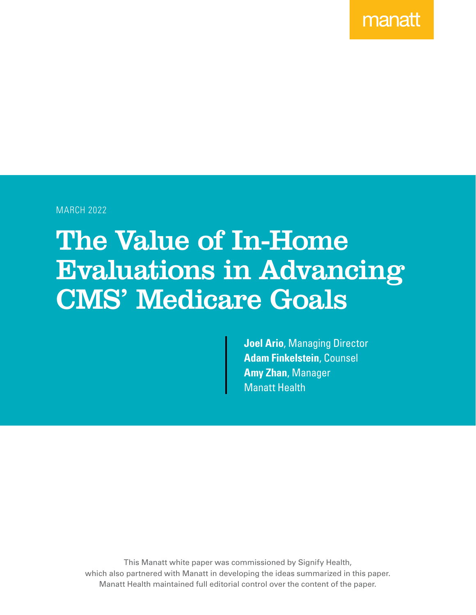manatt

MARCH 2022

# The Value of In-Home Evaluations in Advancing CMS' Medicare Goals

**Joel Ario**, Managing Director **Adam Finkelstein**, Counsel **Amy Zhan**, Manager Manatt Health

This Manatt white paper was commissioned by Signify Health, which also partnered with Manatt in developing the ideas summarized in this paper. Manatt Health maintained full editorial control over the content of the paper.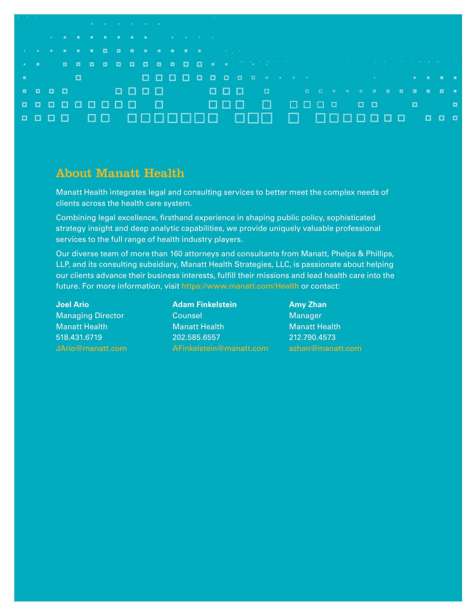| the control of the control of the control of the control of the control of<br>and the company of the company of the company of the company of the company of the company of the company of the company of the company of the company of the company of the company of the company of the company of the comp<br>the control of the control of the control of the con-<br>the contract of the contract of the contract of the contract of the contract of the contract of the contract of<br>e a cada da dididididididid da katifatan jirin ke kare ke ke ke k<br>the contract of the contract of the contract of the contract of the contract of the contract of the contract of<br>o<br><b>Bandarie Communication</b><br>.<br>1000000000000<br><b>.</b> |  |
|----------------------------------------------------------------------------------------------------------------------------------------------------------------------------------------------------------------------------------------------------------------------------------------------------------------------------------------------------------------------------------------------------------------------------------------------------------------------------------------------------------------------------------------------------------------------------------------------------------------------------------------------------------------------------------------------------------------------------------------------------------|--|
|                                                                                                                                                                                                                                                                                                                                                                                                                                                                                                                                                                                                                                                                                                                                                          |  |
|                                                                                                                                                                                                                                                                                                                                                                                                                                                                                                                                                                                                                                                                                                                                                          |  |
|                                                                                                                                                                                                                                                                                                                                                                                                                                                                                                                                                                                                                                                                                                                                                          |  |
|                                                                                                                                                                                                                                                                                                                                                                                                                                                                                                                                                                                                                                                                                                                                                          |  |
|                                                                                                                                                                                                                                                                                                                                                                                                                                                                                                                                                                                                                                                                                                                                                          |  |
|                                                                                                                                                                                                                                                                                                                                                                                                                                                                                                                                                                                                                                                                                                                                                          |  |
|                                                                                                                                                                                                                                                                                                                                                                                                                                                                                                                                                                                                                                                                                                                                                          |  |
|                                                                                                                                                                                                                                                                                                                                                                                                                                                                                                                                                                                                                                                                                                                                                          |  |
|                                                                                                                                                                                                                                                                                                                                                                                                                                                                                                                                                                                                                                                                                                                                                          |  |
|                                                                                                                                                                                                                                                                                                                                                                                                                                                                                                                                                                                                                                                                                                                                                          |  |

#### About Manatt Health

Manatt Health integrates legal and consulting services to better meet the complex needs of clients across the health care system.

Combining legal excellence, firsthand experience in shaping public policy, sophisticated strategy insight and deep analytic capabilities, we provide uniquely valuable professional services to the full range of health industry players.

Our diverse team of more than 160 attorneys and consultants from Manatt, Phelps & Phillips, LLP, and its consulting subsidiary, Manatt Health Strategies, LLC, is passionate about helping our clients advance their business interests, fulfill their missions and lead health care into the future. For more information, visit <https://www.manatt.com/Health>or contact:

**Joel Ario** Managing Director Manatt Health 518.431.6719 [JArio@manatt.com](mailto:JArio%40manatt.com?subject=) **Adam Finkelstein Counsel** Manatt Health 202.585.6557 [AFinkelstein@manatt.com](mailto:AFinkelstein%40manatt.com?subject=)

**Amy Zhan** Manager Manatt Health 212.790.4573 [azhan@manatt.com](mailto:azhan%40manatt.com?subject=)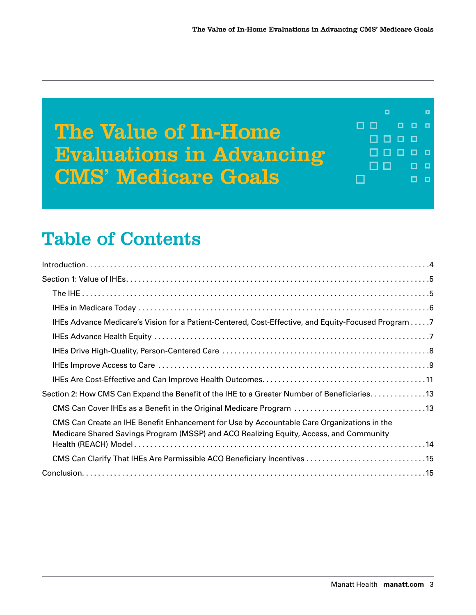

### Table of Contents

| IHEs Advance Medicare's Vision for a Patient-Centered, Cost-Effective, and Equity-Focused Program 7                                                                                  |
|--------------------------------------------------------------------------------------------------------------------------------------------------------------------------------------|
|                                                                                                                                                                                      |
|                                                                                                                                                                                      |
|                                                                                                                                                                                      |
|                                                                                                                                                                                      |
| Section 2: How CMS Can Expand the Benefit of the IHE to a Greater Number of Beneficiaries13                                                                                          |
|                                                                                                                                                                                      |
| CMS Can Create an IHE Benefit Enhancement for Use by Accountable Care Organizations in the<br>Medicare Shared Savings Program (MSSP) and ACO Realizing Equity, Access, and Community |
|                                                                                                                                                                                      |
|                                                                                                                                                                                      |
|                                                                                                                                                                                      |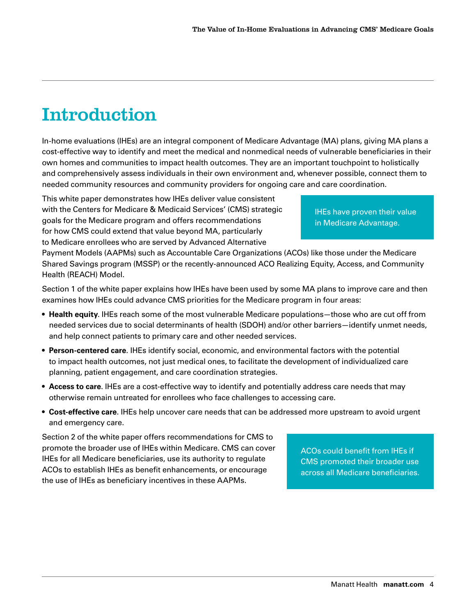# <span id="page-3-0"></span>Introduction

In-home evaluations (IHEs) are an integral component of Medicare Advantage (MA) plans, giving MA plans a cost-effective way to identify and meet the medical and nonmedical needs of vulnerable beneficiaries in their own homes and communities to impact health outcomes. They are an important touchpoint to holistically and comprehensively assess individuals in their own environment and, whenever possible, connect them to needed community resources and community providers for ongoing care and care coordination.

This white paper demonstrates how IHEs deliver value consistent with the Centers for Medicare & Medicaid Services' (CMS) strategic goals for the Medicare program and offers recommendations for how CMS could extend that value beyond MA, particularly to Medicare enrollees who are served by Advanced Alternative

IHEs have proven their value in Medicare Advantage.

Payment Models (AAPMs) such as Accountable Care Organizations (ACOs) like those under the Medicare Shared Savings program (MSSP) or the recently-announced ACO Realizing Equity, Access, and Community Health (REACH) Model.

Section 1 of the white paper explains how IHEs have been used by some MA plans to improve care and then examines how IHEs could advance CMS priorities for the Medicare program in four areas:

- **Health equity**. IHEs reach some of the most vulnerable Medicare populations—those who are cut off from needed services due to social determinants of health (SDOH) and/or other barriers—identify unmet needs, and help connect patients to primary care and other needed services.
- **Person-centered care**. IHEs identify social, economic, and environmental factors with the potential to impact health outcomes, not just medical ones, to facilitate the development of individualized care planning, patient engagement, and care coordination strategies.
- **Access to care**. IHEs are a cost-effective way to identify and potentially address care needs that may otherwise remain untreated for enrollees who face challenges to accessing care.
- **Cost-effective care**. IHEs help uncover care needs that can be addressed more upstream to avoid urgent and emergency care.

Section 2 of the white paper offers recommendations for CMS to promote the broader use of IHEs within Medicare. CMS can cover IHEs for all Medicare beneficiaries, use its authority to regulate ACOs to establish IHEs as benefit enhancements, or encourage the use of IHEs as beneficiary incentives in these AAPMs.

ACOs could benefit from IHEs if CMS promoted their broader use across all Medicare beneficiaries.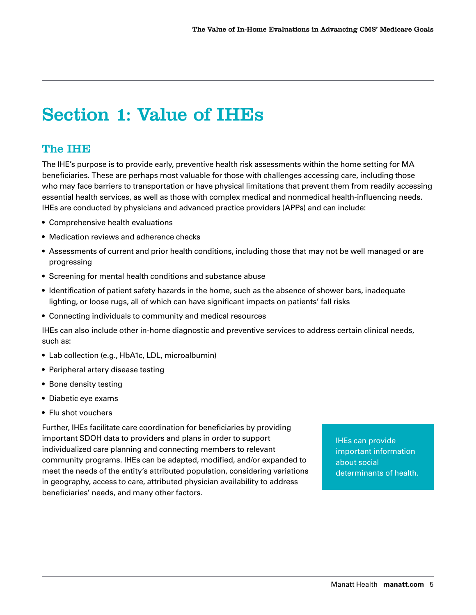# <span id="page-4-0"></span>Section 1: Value of IHEs

#### The IHE

The IHE's purpose is to provide early, preventive health risk assessments within the home setting for MA beneficiaries. These are perhaps most valuable for those with challenges accessing care, including those who may face barriers to transportation or have physical limitations that prevent them from readily accessing essential health services, as well as those with complex medical and nonmedical health-influencing needs. IHEs are conducted by physicians and advanced practice providers (APPs) and can include:

- Comprehensive health evaluations
- Medication reviews and adherence checks
- Assessments of current and prior health conditions, including those that may not be well managed or are progressing
- Screening for mental health conditions and substance abuse
- Identification of patient safety hazards in the home, such as the absence of shower bars, inadequate lighting, or loose rugs, all of which can have significant impacts on patients' fall risks
- Connecting individuals to community and medical resources

IHEs can also include other in-home diagnostic and preventive services to address certain clinical needs, such as:

- Lab collection (e.g., HbA1c, LDL, microalbumin)
- Peripheral artery disease testing
- Bone density testing
- Diabetic eye exams
- Flu shot vouchers

Further, IHEs facilitate care coordination for beneficiaries by providing important SDOH data to providers and plans in order to support individualized care planning and connecting members to relevant community programs. IHEs can be adapted, modified, and/or expanded to meet the needs of the entity's attributed population, considering variations in geography, access to care, attributed physician availability to address beneficiaries' needs, and many other factors.

IHEs can provide important information about social determinants of health.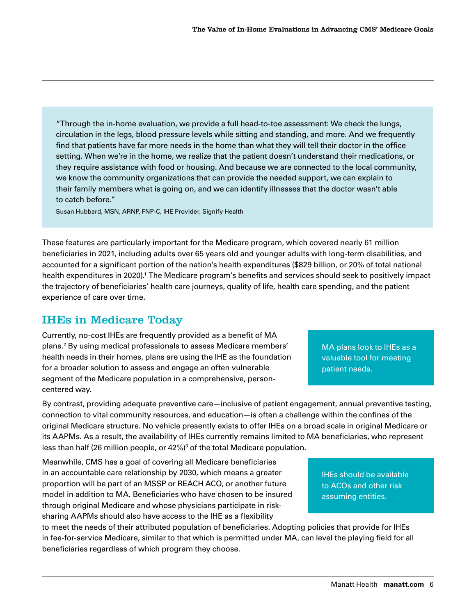<span id="page-5-0"></span>"Through the in-home evaluation, we provide a full head-to-toe assessment: We check the lungs, circulation in the legs, blood pressure levels while sitting and standing, and more. And we frequently find that patients have far more needs in the home than what they will tell their doctor in the office setting. When we're in the home, we realize that the patient doesn't understand their medications, or they require assistance with food or housing. And because we are connected to the local community, we know the community organizations that can provide the needed support, we can explain to their family members what is going on, and we can identify illnesses that the doctor wasn't able to catch before."

Susan Hubbard, MSN, ARNP, FNP-C, IHE Provider, Signify Health

These features are particularly important for the Medicare program, which covered nearly 61 million beneficiaries in 2021, including adults over 65 years old and younger adults with long-term disabilities, and accounted for a significant portion of the nation's health expenditures (\$829 billion, or 20% of total national health expenditures in 2020).<sup>1</sup> The Medicare program's benefits and services should seek to positively impact the trajectory of beneficiaries' health care journeys, quality of life, health care spending, and the patient experience of care over time.

#### IHEs in Medicare Today

Currently, no-cost IHEs are frequently provided as a benefit of MA plans.[2](#page-15-0) By using medical professionals to assess Medicare members' health needs in their homes, plans are using the IHE as the foundation for a broader solution to assess and engage an often vulnerable segment of the Medicare population in a comprehensive, personcentered way.

By contrast, providing adequate preventive care—inclusive of patient engagement, annual preventive testing, connection to vital community resources, and education—is often a challenge within the confines of the original Medicare structure. No vehicle presently exists to offer IHEs on a broad scale in original Medicare or its AAPMs. As a result, the availability of IHEs currently remains limited to MA beneficiaries, who represent less than half (26 million people, or 42%)<sup>[3](#page-15-0)</sup> of the total Medicare population.

Meanwhile, CMS has a goal of covering all Medicare beneficiaries in an accountable care relationship by 2030, which means a greater proportion will be part of an MSSP or REACH ACO, or another future model in addition to MA. Beneficiaries who have chosen to be insured through original Medicare and whose physicians participate in risksharing AAPMs should also have access to the IHE as a flexibility

to meet the needs of their attributed population of beneficiaries. Adopting policies that provide for IHEs in fee-for-service Medicare, similar to that which is permitted under MA, can level the playing field for all beneficiaries regardless of which program they choose.

MA plans look to IHEs as a valuable tool for meeting patient needs.

IHEs should be available to ACOs and other risk assuming entities.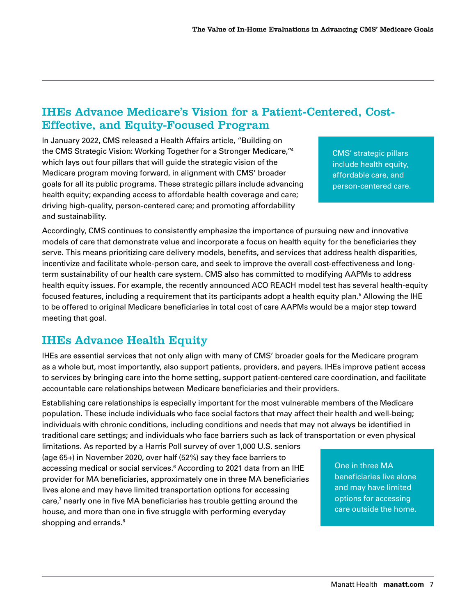#### <span id="page-6-0"></span>IHEs Advance Medicare's Vision for a Patient-Centered, Cost-Effective, and Equity-Focused Program

In January 2022, CMS released a Health Affairs article, "Building on the CMS Strategic Vision: Working Together for a Stronger Medicare,["4](#page-15-0) which lays out four pillars that will guide the strategic vision of the Medicare program moving forward, in alignment with CMS' broader goals for all its public programs. These strategic pillars include advancing health equity; expanding access to affordable health coverage and care; driving high-quality, person-centered care; and promoting affordability and sustainability.

CMS' strategic pillars include health equity, affordable care, and person-centered care.

Accordingly, CMS continues to consistently emphasize the importance of pursuing new and innovative models of care that demonstrate value and incorporate a focus on health equity for the beneficiaries they serve. This means prioritizing care delivery models, benefits, and services that address health disparities, incentivize and facilitate whole-person care, and seek to improve the overall cost-effectiveness and longterm sustainability of our health care system. CMS also has committed to modifying AAPMs to address health equity issues. For example, the recently announced ACO REACH model test has several health-equity focused features, including a requirement that its participants adopt a health equity plan.<sup>[5](#page-15-0)</sup> Allowing the IHE to be offered to original Medicare beneficiaries in total cost of care AAPMs would be a major step toward meeting that goal.

#### IHEs Advance Health Equity

IHEs are essential services that not only align with many of CMS' broader goals for the Medicare program as a whole but, most importantly, also support patients, providers, and payers. IHEs improve patient access to services by bringing care into the home setting, support patient-centered care coordination, and facilitate accountable care relationships between Medicare beneficiaries and their providers.

Establishing care relationships is especially important for the most vulnerable members of the Medicare population. These include individuals who face social factors that may affect their health and well-being; individuals with chronic conditions, including conditions and needs that may not always be identified in traditional care settings; and individuals who face barriers such as lack of transportation or even physical

limitations. As reported by a Harris Poll survey of over 1,000 U.S. seniors (age 65+) in November 2020, over half (52%) say they face barriers to accessing medical or social services[.6](#page-15-0) According to 2021 data from an IHE provider for MA beneficiaries, approximately one in three MA beneficiaries lives alone and may have limited transportation options for accessing care, $7$  nearly one in five MA beneficiaries has trouble getting around the house, and more than one in five struggle with performing everyday shopping and errands.<sup>[8](#page-15-0)</sup>

One in three MA beneficiaries live alone and may have limited options for accessing care outside the home.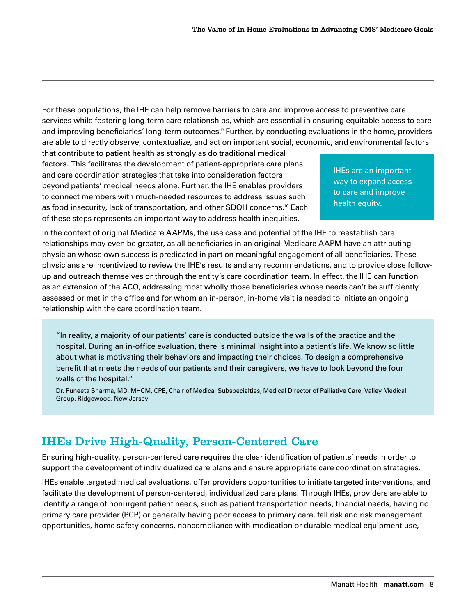<span id="page-7-0"></span>For these populations, the IHE can help remove barriers to care and improve access to preventive care services while fostering long-term care relationships, which are essential in ensuring equitable access to care and improving beneficiaries' long-term outcomes.<sup>[9](#page-15-0)</sup> Further, by conducting evaluations in the home, providers are able to directly observe, contextualize, and act on important social, economic, and environmental factors

that contribute to patient health as strongly as do traditional medical factors. This facilitates the development of patient-appropriate care plans and care coordination strategies that take into consideration factors beyond patients' medical needs alone. Further, the IHE enables providers to connect members with much-needed resources to address issues such as food insecurity, lack of transportation, and other SDOH concerns[.10](#page-15-0) Each of these steps represents an important way to address health inequities.

IHEs are an important way to expand access to care and improve health equity.

In the context of original Medicare AAPMs, the use case and potential of the IHE to reestablish care relationships may even be greater, as all beneficiaries in an original Medicare AAPM have an attributing physician whose own success is predicated in part on meaningful engagement of all beneficiaries. These physicians are incentivized to review the IHE's results and any recommendations, and to provide close followup and outreach themselves or through the entity's care coordination team. In effect, the IHE can function as an extension of the ACO, addressing most wholly those beneficiaries whose needs can't be sufficiently assessed or met in the office and for whom an in-person, in-home visit is needed to initiate an ongoing relationship with the care coordination team.

"In reality, a majority of our patients' care is conducted outside the walls of the practice and the hospital. During an in-office evaluation, there is minimal insight into a patient's life. We know so little about what is motivating their behaviors and impacting their choices. To design a comprehensive benefit that meets the needs of our patients and their caregivers, we have to look beyond the four walls of the hospital."

Dr. Puneeta Sharma, MD, MHCM, CPE, Chair of Medical Subspecialties, Medical Director of Palliative Care, Valley Medical Group, Ridgewood, New Jersey

#### IHEs Drive High-Quality, Person-Centered Care

Ensuring high-quality, person-centered care requires the clear identification of patients' needs in order to support the development of individualized care plans and ensure appropriate care coordination strategies.

IHEs enable targeted medical evaluations, offer providers opportunities to initiate targeted interventions, and facilitate the development of person-centered, individualized care plans. Through IHEs, providers are able to identify a range of nonurgent patient needs, such as patient transportation needs, financial needs, having no primary care provider (PCP) or generally having poor access to primary care, fall risk and risk management opportunities, home safety concerns, noncompliance with medication or durable medical equipment use,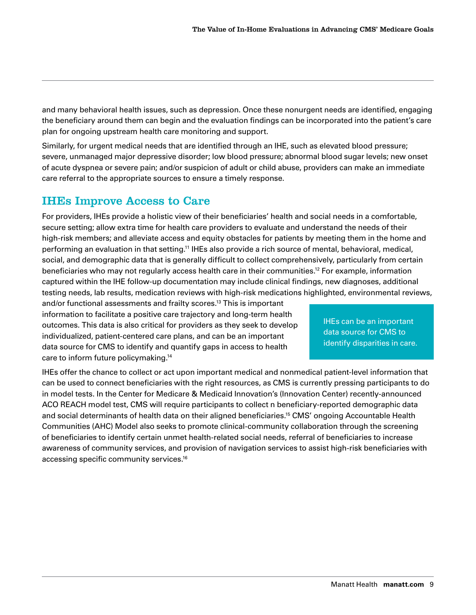<span id="page-8-0"></span>and many behavioral health issues, such as depression. Once these nonurgent needs are identified, engaging the beneficiary around them can begin and the evaluation findings can be incorporated into the patient's care plan for ongoing upstream health care monitoring and support.

Similarly, for urgent medical needs that are identified through an IHE, such as elevated blood pressure; severe, unmanaged major depressive disorder; low blood pressure; abnormal blood sugar levels; new onset of acute dyspnea or severe pain; and/or suspicion of adult or child abuse, providers can make an immediate care referral to the appropriate sources to ensure a timely response.

#### IHEs Improve Access to Care

For providers, IHEs provide a holistic view of their beneficiaries' health and social needs in a comfortable, secure setting; allow extra time for health care providers to evaluate and understand the needs of their high-risk members; and alleviate access and equity obstacles for patients by meeting them in the home and performing an evaluation in that setting.<sup>11</sup> IHEs also provide a rich source of mental, behavioral, medical, social, and demographic data that is generally difficult to collect comprehensively, particularly from certain beneficiaries who may not regularly access health care in their communities[.12](#page-15-0) For example, information captured within the IHE follow-up documentation may include clinical findings, new diagnoses, additional testing needs, lab results, medication reviews with high-risk medications highlighted, environmental reviews,

and/or functional assessments and frailty scores.<sup>13</sup> This is important information to facilitate a positive care trajectory and long-term health outcomes. This data is also critical for providers as they seek to develop individualized, patient-centered care plans, and can be an important data source for CMS to identify and quantify gaps in access to health care to inform future policymaking[.14](#page-15-0)

IHEs can be an important data source for CMS to identify disparities in care.

IHEs offer the chance to collect or act upon important medical and nonmedical patient-level information that can be used to connect beneficiaries with the right resources, as CMS is currently pressing participants to do in model tests. In the Center for Medicare & Medicaid Innovation's (Innovation Center) recently-announced ACO REACH model test, CMS will require participants to collect n beneficiary-reported demographic data and social determinants of health data on their aligned beneficiaries[.15](#page-15-0) CMS' ongoing Accountable Health Communities (AHC) Model also seeks to promote clinical-community collaboration through the screening of beneficiaries to identify certain unmet health-related social needs, referral of beneficiaries to increase awareness of community services, and provision of navigation services to assist high-risk beneficiaries with accessing specific community services[.16](#page-15-0)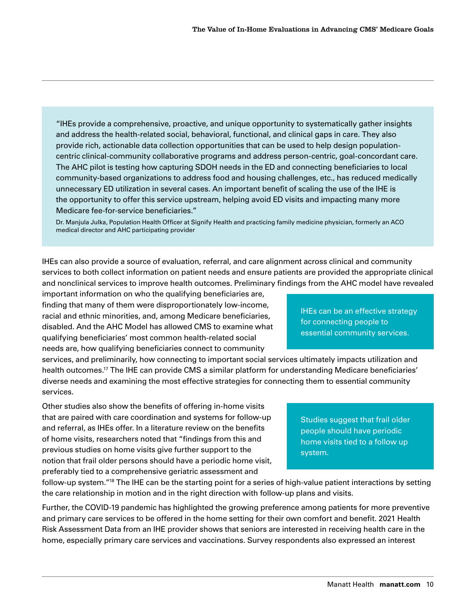"IHEs provide a comprehensive, proactive, and unique opportunity to systematically gather insights and address the health-related social, behavioral, functional, and clinical gaps in care. They also provide rich, actionable data collection opportunities that can be used to help design populationcentric clinical-community collaborative programs and address person-centric, goal-concordant care. The AHC pilot is testing how capturing SDOH needs in the ED and connecting beneficiaries to local community-based organizations to address food and housing challenges, etc., has reduced medically unnecessary ED utilization in several cases. An important benefit of scaling the use of the IHE is the opportunity to offer this service upstream, helping avoid ED visits and impacting many more Medicare fee-for-service beneficiaries."

Dr. Manjula Julka, Population Health Officer at Signify Health and practicing family medicine physician, formerly an ACO medical director and AHC participating provider

IHEs can also provide a source of evaluation, referral, and care alignment across clinical and community services to both collect information on patient needs and ensure patients are provided the appropriate clinical and nonclinical services to improve health outcomes. Preliminary findings from the AHC model have revealed

important information on who the qualifying beneficiaries are, finding that many of them were disproportionately low-income, racial and ethnic minorities, and, among Medicare beneficiaries, disabled. And the AHC Model has allowed CMS to examine what qualifying beneficiaries' most common health-related social needs are, how qualifying beneficiaries connect to community

services, and preliminarily, how connecting to important social services ultimately impacts utilization and health outcomes[.17](#page-15-0) The IHE can provide CMS a similar platform for understanding Medicare beneficiaries' diverse needs and examining the most effective strategies for connecting them to essential community services.

Other studies also show the benefits of offering in-home visits that are paired with care coordination and systems for follow-up and referral, as IHEs offer. In a literature review on the benefits of home visits, researchers noted that "findings from this and previous studies on home visits give further support to the notion that frail older persons should have a periodic home visit, preferably tied to a comprehensive geriatric assessment and

essential community services.

IHEs can be an effective strategy

for connecting people to

Studies suggest that frail older people should have periodic home visits tied to a follow up system.

follow-up system.["18](#page-15-0) The IHE can be the starting point for a series of high-value patient interactions by setting the care relationship in motion and in the right direction with follow-up plans and visits.

Further, the COVID-19 pandemic has highlighted the growing preference among patients for more preventive and primary care services to be offered in the home setting for their own comfort and benefit. 2021 Health Risk Assessment Data from an IHE provider shows that seniors are interested in receiving health care in the home, especially primary care services and vaccinations. Survey respondents also expressed an interest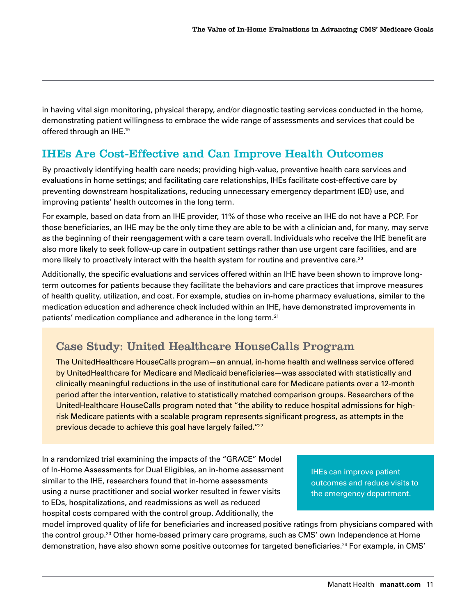<span id="page-10-0"></span>in having vital sign monitoring, physical therapy, and/or diagnostic testing services conducted in the home, demonstrating patient willingness to embrace the wide range of assessments and services that could be offered through an IHE[.19](#page-16-0)

#### IHEs Are Cost-Effective and Can Improve Health Outcomes

By proactively identifying health care needs; providing high-value, preventive health care services and evaluations in home settings; and facilitating care relationships, IHEs facilitate cost-effective care by preventing downstream hospitalizations, reducing unnecessary emergency department (ED) use, and improving patients' health outcomes in the long term.

For example, based on data from an IHE provider, 11% of those who receive an IHE do not have a PCP. For those beneficiaries, an IHE may be the only time they are able to be with a clinician and, for many, may serve as the beginning of their reengagement with a care team overall. Individuals who receive the IHE benefit are also more likely to seek follow-up care in outpatient settings rather than use urgent care facilities, and are more likely to proactively interact with the health system for routine and preventive care.<sup>[20](#page-16-0)</sup>

Additionally, the specific evaluations and services offered within an IHE have been shown to improve longterm outcomes for patients because they facilitate the behaviors and care practices that improve measures of health quality, utilization, and cost. For example, studies on in-home pharmacy evaluations, similar to the medication education and adherence check included within an IHE, have demonstrated improvements in patients' medication compliance and adherence in the long term.<sup>[21](#page-16-0)</sup>

#### Case Study: United Healthcare HouseCalls Program

The UnitedHealthcare HouseCalls program—an annual, in-home health and wellness service offered by UnitedHealthcare for Medicare and Medicaid beneficiaries—was associated with statistically and clinically meaningful reductions in the use of institutional care for Medicare patients over a 12-month period after the intervention, relative to statistically matched comparison groups. Researchers of the UnitedHealthcare HouseCalls program noted that "the ability to reduce hospital admissions for highrisk Medicare patients with a scalable program represents significant progress, as attempts in the previous decade to achieve this goal have largely failed."<sup>[22](#page-16-0)</sup>

In a randomized trial examining the impacts of the "GRACE" Model of In-Home Assessments for Dual Eligibles, an in-home assessment similar to the IHE, researchers found that in-home assessments using a nurse practitioner and social worker resulted in fewer visits to EDs, hospitalizations, and readmissions as well as reduced hospital costs compared with the control group. Additionally, the

IHEs can improve patient outcomes and reduce visits to the emergency department.

model improved quality of life for beneficiaries and increased positive ratings from physicians compared with the control group[.23](#page-16-0) Other home-based primary care programs, such as CMS' own Independence at Home demonstration, have also shown some positive outcomes for targeted beneficiaries.<sup>24</sup> For example, in CMS'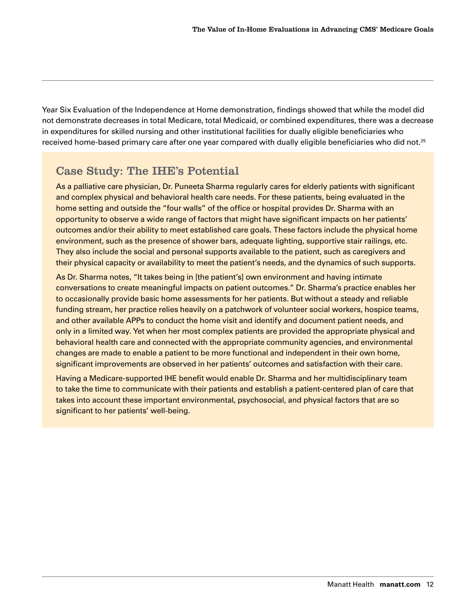Year Six Evaluation of the Independence at Home demonstration, findings showed that while the model did not demonstrate decreases in total Medicare, total Medicaid, or combined expenditures, there was a decrease in expenditures for skilled nursing and other institutional facilities for dually eligible beneficiaries who received home-based primary care after one year compared with dually eligible beneficiaries who did not.<sup>25</sup>

#### Case Study: The IHE's Potential

As a palliative care physician, Dr. Puneeta Sharma regularly cares for elderly patients with significant and complex physical and behavioral health care needs. For these patients, being evaluated in the home setting and outside the "four walls" of the office or hospital provides Dr. Sharma with an opportunity to observe a wide range of factors that might have significant impacts on her patients' outcomes and/or their ability to meet established care goals. These factors include the physical home environment, such as the presence of shower bars, adequate lighting, supportive stair railings, etc. They also include the social and personal supports available to the patient, such as caregivers and their physical capacity or availability to meet the patient's needs, and the dynamics of such supports.

As Dr. Sharma notes, "It takes being in [the patient's] own environment and having intimate conversations to create meaningful impacts on patient outcomes." Dr. Sharma's practice enables her to occasionally provide basic home assessments for her patients. But without a steady and reliable funding stream, her practice relies heavily on a patchwork of volunteer social workers, hospice teams, and other available APPs to conduct the home visit and identify and document patient needs, and only in a limited way. Yet when her most complex patients are provided the appropriate physical and behavioral health care and connected with the appropriate community agencies, and environmental changes are made to enable a patient to be more functional and independent in their own home, significant improvements are observed in her patients' outcomes and satisfaction with their care.

Having a Medicare-supported IHE benefit would enable Dr. Sharma and her multidisciplinary team to take the time to communicate with their patients and establish a patient-centered plan of care that takes into account these important environmental, psychosocial, and physical factors that are so significant to her patients' well-being.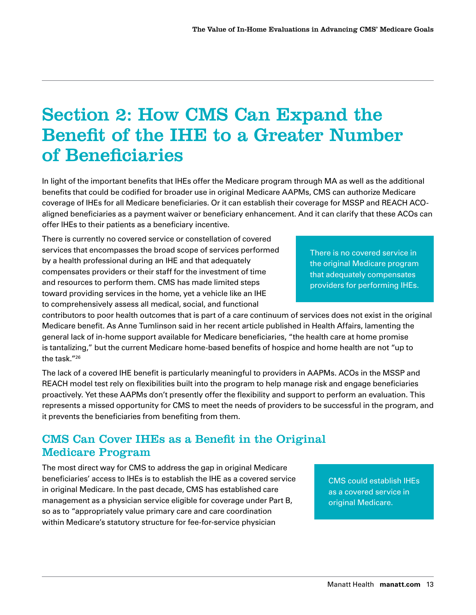### <span id="page-12-0"></span>Section 2: How CMS Can Expand the Benefit of the IHE to a Greater Number of Beneficiaries

In light of the important benefits that IHEs offer the Medicare program through MA as well as the additional benefits that could be codified for broader use in original Medicare AAPMs, CMS can authorize Medicare coverage of IHEs for all Medicare beneficiaries. Or it can establish their coverage for MSSP and REACH ACOaligned beneficiaries as a payment waiver or beneficiary enhancement. And it can clarify that these ACOs can offer IHEs to their patients as a beneficiary incentive.

There is currently no covered service or constellation of covered services that encompasses the broad scope of services performed by a health professional during an IHE and that adequately compensates providers or their staff for the investment of time and resources to perform them. CMS has made limited steps toward providing services in the home, yet a vehicle like an IHE to comprehensively assess all medical, social, and functional

There is no covered service in the original Medicare program that adequately compensates providers for performing IHEs.

contributors to poor health outcomes that is part of a care continuum of services does not exist in the original Medicare benefit. As Anne Tumlinson said in her recent article published in Health Affairs, lamenting the general lack of in-home support available for Medicare beneficiaries, "the health care at home promise is tantalizing," but the current Medicare home-based benefits of hospice and home health are not "up to the task.["26](#page-16-0)

The lack of a covered IHE benefit is particularly meaningful to providers in AAPMs. ACOs in the MSSP and REACH model test rely on flexibilities built into the program to help manage risk and engage beneficiaries proactively. Yet these AAPMs don't presently offer the flexibility and support to perform an evaluation. This represents a missed opportunity for CMS to meet the needs of providers to be successful in the program, and it prevents the beneficiaries from benefiting from them.

#### CMS Can Cover IHEs as a Benefit in the Original Medicare Program

The most direct way for CMS to address the gap in original Medicare beneficiaries' access to IHEs is to establish the IHE as a covered service in original Medicare. In the past decade, CMS has established care management as a physician service eligible for coverage under Part B, so as to "appropriately value primary care and care coordination within Medicare's statutory structure for fee-for-service physician

CMS could establish IHEs as a covered service in original Medicare.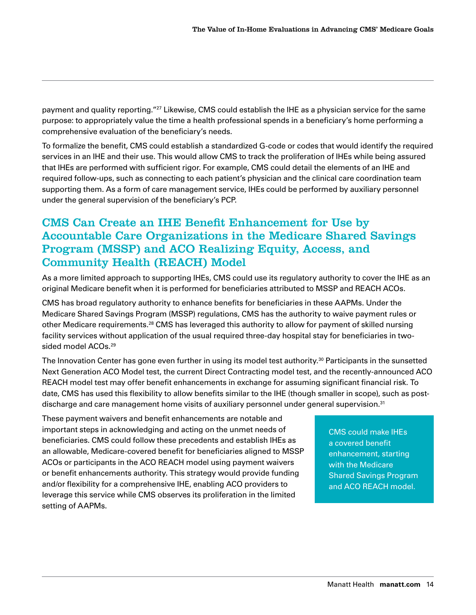<span id="page-13-0"></span>payment and quality reporting."<sup>27</sup> Likewise, CMS could establish the IHE as a physician service for the same purpose: to appropriately value the time a health professional spends in a beneficiary's home performing a comprehensive evaluation of the beneficiary's needs.

To formalize the benefit, CMS could establish a standardized G-code or codes that would identify the required services in an IHE and their use. This would allow CMS to track the proliferation of IHEs while being assured that IHEs are performed with sufficient rigor. For example, CMS could detail the elements of an IHE and required follow-ups, such as connecting to each patient's physician and the clinical care coordination team supporting them. As a form of care management service, IHEs could be performed by auxiliary personnel under the general supervision of the beneficiary's PCP.

#### CMS Can Create an IHE Benefit Enhancement for Use by Accountable Care Organizations in the Medicare Shared Savings Program (MSSP) and ACO Realizing Equity, Access, and Community Health (REACH) Model

As a more limited approach to supporting IHEs, CMS could use its regulatory authority to cover the IHE as an original Medicare benefit when it is performed for beneficiaries attributed to MSSP and REACH ACOs.

CMS has broad regulatory authority to enhance benefits for beneficiaries in these AAPMs. Under the Medicare Shared Savings Program (MSSP) regulations, CMS has the authority to waive payment rules or other Medicare requirements[.28](#page-16-0) CMS has leveraged this authority to allow for payment of skilled nursing facility services without application of the usual required three-day hospital stay for beneficiaries in twosided model ACOs[.29](#page-16-0)

The Innovation Center has gone even further in using its model test authority.[30](#page-16-0) Participants in the sunsetted Next Generation ACO Model test, the current Direct Contracting model test, and the recently-announced ACO REACH model test may offer benefit enhancements in exchange for assuming significant financial risk. To date, CMS has used this flexibility to allow benefits similar to the IHE (though smaller in scope), such as postdischarge and care management home visits of auxiliary personnel under general supervision.<sup>31</sup>

These payment waivers and benefit enhancements are notable and important steps in acknowledging and acting on the unmet needs of beneficiaries. CMS could follow these precedents and establish IHEs as an allowable, Medicare-covered benefit for beneficiaries aligned to MSSP ACOs or participants in the ACO REACH model using payment waivers or benefit enhancements authority. This strategy would provide funding and/or flexibility for a comprehensive IHE, enabling ACO providers to leverage this service while CMS observes its proliferation in the limited setting of AAPMs.

CMS could make IHEs a covered benefit enhancement, starting with the Medicare Shared Savings Program and ACO REACH model.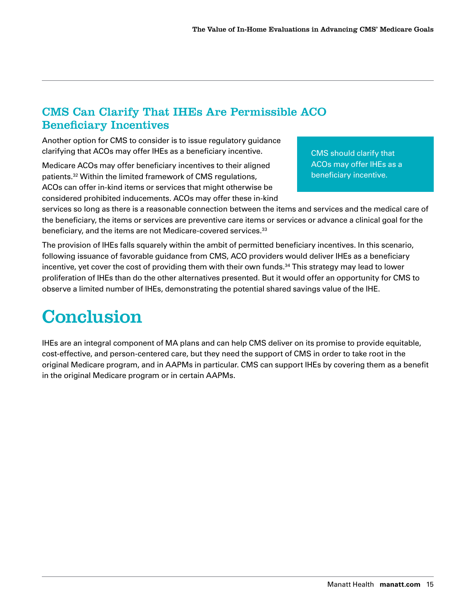#### <span id="page-14-0"></span>CMS Can Clarify That IHEs Are Permissible ACO Beneficiary Incentives

Another option for CMS to consider is to issue regulatory guidance clarifying that ACOs may offer IHEs as a beneficiary incentive.

Medicare ACOs may offer beneficiary incentives to their aligned patients.[32](#page-16-0) Within the limited framework of CMS regulations, ACOs can offer in-kind items or services that might otherwise be considered prohibited inducements. ACOs may offer these in-kind CMS should clarify that ACOs may offer IHEs as a beneficiary incentive.

services so long as there is a reasonable connection between the items and services and the medical care of the beneficiary, the items or services are preventive care items or services or advance a clinical goal for the beneficiary, and the items are not Medicare-covered services.<sup>33</sup>

The provision of IHEs falls squarely within the ambit of permitted beneficiary incentives. In this scenario, following issuance of favorable guidance from CMS, ACO providers would deliver IHEs as a beneficiary incentive, yet cover the cost of providing them with their own funds.<sup>[34](#page-16-0)</sup> This strategy may lead to lower proliferation of IHEs than do the other alternatives presented. But it would offer an opportunity for CMS to observe a limited number of IHEs, demonstrating the potential shared savings value of the IHE.

### Conclusion

IHEs are an integral component of MA plans and can help CMS deliver on its promise to provide equitable, cost-effective, and person-centered care, but they need the support of CMS in order to take root in the original Medicare program, and in AAPMs in particular. CMS can support IHEs by covering them as a benefit in the original Medicare program or in certain AAPMs.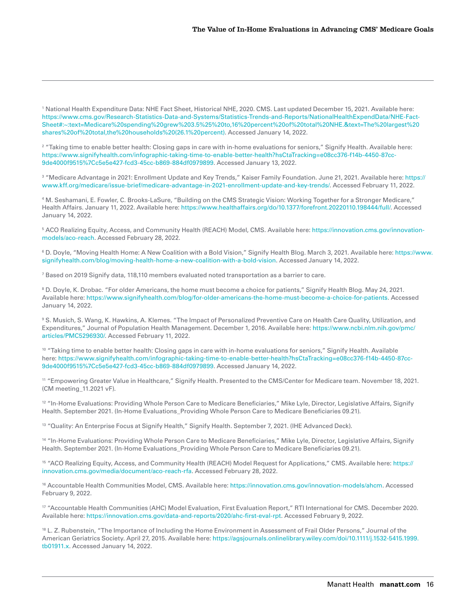<span id="page-15-0"></span>1 National Health Expenditure Data: NHE Fact Sheet, Historical NHE, 2020. CMS. Last updated December 15, 2021. Available here: [https://www.cms.gov/Research-Statistics-Data-and-Systems/Statistics-Trends-and-Reports/NationalHealthExpendData/NHE-Fact-](https://www.cms.gov/Research-Statistics-Data-and-Systems/Statistics-Trends-and-Reports/NationalHealthExpendData/NHE-Fact-Sheet#:~:text=Medicare%20spending%20grew%203.5%25%20to,16%20percent%20of%20total%20NHE.&text=The%20largest%20shares%20of%20total,the%20households%20(26.1%20percent))[Sheet#:~:text=Medicare%20spending%20grew%203.5%25%20to,16%20percent%20of%20total%20NHE.&text=The%20largest%20](https://www.cms.gov/Research-Statistics-Data-and-Systems/Statistics-Trends-and-Reports/NationalHealthExpendData/NHE-Fact-Sheet#:~:text=Medicare%20spending%20grew%203.5%25%20to,16%20percent%20of%20total%20NHE.&text=The%20largest%20shares%20of%20total,the%20households%20(26.1%20percent)) [shares%20of%20total,the%20households%20\(26.1%20percent\)](https://www.cms.gov/Research-Statistics-Data-and-Systems/Statistics-Trends-and-Reports/NationalHealthExpendData/NHE-Fact-Sheet#:~:text=Medicare%20spending%20grew%203.5%25%20to,16%20percent%20of%20total%20NHE.&text=The%20largest%20shares%20of%20total,the%20households%20(26.1%20percent)). Accessed January 14, 2022.

2 "Taking time to enable better health: Closing gaps in care with in-home evaluations for seniors," Signify Health. Available here: [https://www.signifyhealth.com/infographic-taking-time-to-enable-better-health?hsCtaTracking=e08cc376-f14b-4450-87cc-](https://www.signifyhealth.com/infographic-taking-time-to-enable-better-health?hsCtaTracking=e08cc376-f14b-4450-87cc-9de4000f9515%7Cc5e5e427-fcd3-45cc-b869-884df0979899)[9de4000f9515%7Cc5e5e427-fcd3-45cc-b869-884df0979899.](https://www.signifyhealth.com/infographic-taking-time-to-enable-better-health?hsCtaTracking=e08cc376-f14b-4450-87cc-9de4000f9515%7Cc5e5e427-fcd3-45cc-b869-884df0979899) Accessed January 13, 2022.

3 "Medicare Advantage in 2021: Enrollment Update and Key Trends," Kaiser Family Foundation. June 21, 2021. Available here: [https://](https://www.kff.org/medicare/issue-brief/medicare-advantage-in-2021-enrollment-update-and-key-trends/) [www.kff.org/medicare/issue-brief/medicare-advantage-in-2021-enrollment-update-and-key-trends/](https://www.kff.org/medicare/issue-brief/medicare-advantage-in-2021-enrollment-update-and-key-trends/). Accessed February 11, 2022.

4 M. Seshamani, E. Fowler, C. Brooks-LaSure, "Building on the CMS Strategic Vision: Working Together for a Stronger Medicare," Health Affairs. January 11, 2022. Available here:<https://www.healthaffairs.org/do/10.1377/forefront.20220110.198444/full/>. Accessed January 14, 2022.

5 ACO Realizing Equity, Access, and Community Health (REACH) Model, CMS. Available here: [https://innovation.cms.gov/innovation](https://innovation.cms.gov/innovation-models/aco-reach)[models/aco-reach](https://innovation.cms.gov/innovation-models/aco-reach). Accessed February 28, 2022.

6 D. Doyle, "Moving Health Home: A New Coalition with a Bold Vision," Signify Health Blog. March 3, 2021. Available here: [https://www.](https://www.signifyhealth.com/blog/moving-health-home-a-new-coalition-with-a-bold-vision) [signifyhealth.com/blog/moving-health-home-a-new-coalition-with-a-bold-vision](https://www.signifyhealth.com/blog/moving-health-home-a-new-coalition-with-a-bold-vision). Accessed January 14, 2022.

 $^7$  Based on 2019 Signify data, 118,110 members evaluated noted transportation as a barrier to care.

8 D. Doyle, K. Drobac. "For older Americans, the home must become a choice for patients," Signify Health Blog. May 24, 2021. Available here: [https://www.signifyhealth.com/blog/for-older-americans-the-home-must-become-a-choice-for-patients.](https://www.signifyhealth.com/blog/for-older-americans-the-home-must-become-a-choice-for-patients) Accessed January 14, 2022.

9 S. Musich, S. Wang, K. Hawkins, A. Klemes. "The Impact of Personalized Preventive Care on Health Care Quality, Utilization, and Expenditures," Journal of Population Health Management. December 1, 2016. Available here: [https://www.ncbi.nlm.nih.gov/pmc/](https://www.ncbi.nlm.nih.gov/pmc/articles/PMC5296930/) [articles/PMC5296930/.](https://www.ncbi.nlm.nih.gov/pmc/articles/PMC5296930/) Accessed February 11, 2022.

<sup>10</sup> "Taking time to enable better health: Closing gaps in care with in-home evaluations for seniors," Signify Health. Available here: [https://www.signifyhealth.com/infographic-taking-time-to-enable-better-health?hsCtaTracking=e08cc376-f14b-4450-87cc-](https://www.signifyhealth.com/infographic-taking-time-to-enable-better-health?hsCtaTracking=e08cc376-f14b-4450-87cc-9de4000f9515%7Cc5e5e427-fcd3-45cc-b869-884df0979899)[9de4000f9515%7Cc5e5e427-fcd3-45cc-b869-884df0979899.](https://www.signifyhealth.com/infographic-taking-time-to-enable-better-health?hsCtaTracking=e08cc376-f14b-4450-87cc-9de4000f9515%7Cc5e5e427-fcd3-45cc-b869-884df0979899) Accessed January 14, 2022.

11 "Empowering Greater Value in Healthcare," Signify Health. Presented to the CMS/Center for Medicare team. November 18, 2021. (CM meeting\_11.2021 vF).

<sup>12</sup> "In-Home Evaluations: Providing Whole Person Care to Medicare Beneficiaries," Mike Lyle, Director, Legislative Affairs, Signify Health. September 2021. (In-Home Evaluations\_Providing Whole Person Care to Medicare Beneficiaries 09.21).

<sup>13</sup> "Quality: An Enterprise Focus at Signify Health," Signify Health. September 7, 2021. (IHE Advanced Deck).

14 "In-Home Evaluations: Providing Whole Person Care to Medicare Beneficiaries," Mike Lyle, Director, Legislative Affairs, Signify Health. September 2021. (In-Home Evaluations\_Providing Whole Person Care to Medicare Beneficiaries 09.21).

<sup>15</sup> "ACO Realizing Equity, Access, and Community Health (REACH) Model Request for Applications," CMS. Available here: [https://](https://innovation.cms.gov/media/document/aco-reach-rfa) [innovation.cms.gov/media/document/aco-reach-rfa.](https://innovation.cms.gov/media/document/aco-reach-rfa) Accessed February 28, 2022.

[16](#page-8-0) Accountable Health Communities Model, CMS. Available here: [https://innovation.cms.gov/innovation-models/ahcm.](https://innovation.cms.gov/innovation-models/ahcm) Accessed February 9, 2022.

17 "Accountable Health Communities (AHC) Model Evaluation, First Evaluation Report," RTI International for CMS. December 2020. Available here: [https://innovation.cms.gov/data-and-reports/2020/ahc-first-eval-rpt.](https://innovation.cms.gov/data-and-reports/2020/ahc-first-eval-rpt) Accessed February 9, 2022.

<sup>18</sup> L. Z. Rubenstein, "The Importance of Including the Home Environment in Assessment of Frail Older Persons," Journal of the American Geriatrics Society. April 27, 2015. Available here: [https://agsjournals.onlinelibrary.wiley.com/doi/10.1111/j.1532-5415.1999.](https://agsjournals.onlinelibrary.wiley.com/doi/10.1111/j.1532-5415.1999.tb01911.x) [tb01911.x.](https://agsjournals.onlinelibrary.wiley.com/doi/10.1111/j.1532-5415.1999.tb01911.x) Accessed January 14, 2022.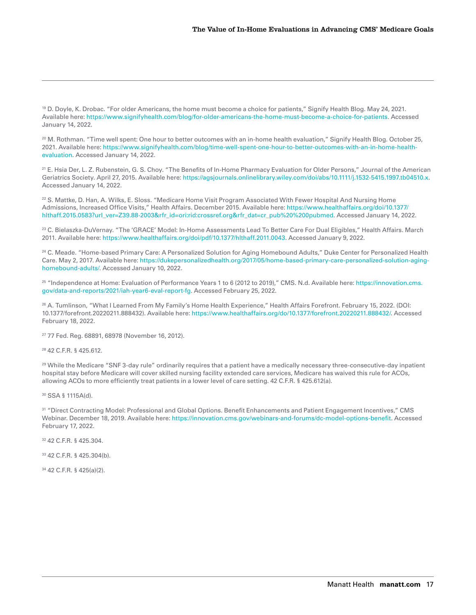<span id="page-16-0"></span>19 D. Doyle, K. Drobac. "For older Americans, the home must become a choice for patients," Signify Health Blog. May 24, 2021. Available here: [https://www.signifyhealth.com/blog/for-older-americans-the-home-must-become-a-choice-for-patients.](https://www.signifyhealth.com/blog/for-older-americans-the-home-must-become-a-choice-for-patients) Accessed January 14, 2022.

<sup>20</sup> M. Rothman. "Time well spent: One hour to better outcomes with an in-home health evaluation," Signify Health Blog. October 25, 2021. Available here: [https://www.signifyhealth.com/blog/time-well-spent-one-hour-to-better-outcomes-with-an-in-home-health](https://www.signifyhealth.com/blog/time-well-spent-one-hour-to-better-outcomes-with-an-in-home-health-evaluation)[evaluation](https://www.signifyhealth.com/blog/time-well-spent-one-hour-to-better-outcomes-with-an-in-home-health-evaluation). Accessed January 14, 2022.

21 E. Hsia Der, L. Z. Rubenstein, G. S. Choy. "The Benefits of In-Home Pharmacy Evaluation for Older Persons," Journal of the American Geriatrics Society. April 27, 2015. Available here:<https://agsjournals.onlinelibrary.wiley.com/doi/abs/10.1111/j.1532-5415.1997.tb04510.x>. Accessed January 14, 2022.

<sup>22</sup> S. Mattke, D. Han, A. Wilks, E. Sloss. "Medicare Home Visit Program Associated With Fewer Hospital And Nursing Home Admissions, Increased Office Visits," Health Affairs. December 2015. Available here: [https://www.healthaffairs.org/doi/10.1377/](https://www.healthaffairs.org/doi/10.1377/hlthaff.2015.0583?url_ver=Z39.88-2003&rfr_id=ori:rid:crossref.org&rfr_dat=cr_pub%20%200pubmed) [hlthaff.2015.0583?url\\_ver=Z39.88-2003&rfr\\_id=ori:rid:crossref.org&rfr\\_dat=cr\\_pub%20%200pubmed](https://www.healthaffairs.org/doi/10.1377/hlthaff.2015.0583?url_ver=Z39.88-2003&rfr_id=ori:rid:crossref.org&rfr_dat=cr_pub%20%200pubmed). Accessed January 14, 2022.

23 C. Bielaszka-DuVernay. "The 'GRACE' Model: In-Home Assessments Lead To Better Care For Dual Eligibles," Health Affairs. March 2011. Available here: [https://www.healthaffairs.org/doi/pdf/10.1377/hlthaff.2011.0043.](https://www.healthaffairs.org/doi/pdf/10.1377/hlthaff.2011.0043) Accessed January 9, 2022.

<sup>24</sup> C. Meade. "Home-based Primary Care: A Personalized Solution for Aging Homebound Adults," Duke Center for Personalized Health Care. May 2, 2017. Available here: [https://dukepersonalizedhealth.org/2017/05/home-based-primary-care-personalized-solution-aging](https://dukepersonalizedhealth.org/2017/05/home-based-primary-care-personalized-solution-aging-homebound-adults/)[homebound-adults/.](https://dukepersonalizedhealth.org/2017/05/home-based-primary-care-personalized-solution-aging-homebound-adults/) Accessed January 10, 2022.

25 "Independence at Home: Evaluation of Performance Years 1 to 6 (2012 to 2019)," CMS. N.d. Available here: [https://innovation.cms.](https://innovation.cms.gov/data-and-reports/2021/iah-year6-eval-report-fg) [gov/data-and-reports/2021/iah-year6-eval-report-fg](https://innovation.cms.gov/data-and-reports/2021/iah-year6-eval-report-fg). Accessed February 25, 2022.

26 A. Tumlinson, "What I Learned From My Family's Home Health Experience," Health Affairs Forefront. February 15, 2022. (DOI: 10.1377/forefront.20220211.888432). Available here: [https://www.healthaffairs.org/do/10.1377/forefront.20220211.888432/.](https://www.healthaffairs.org/do/10.1377/forefront.20220211.888432/) Accessed February 18, 2022.

27 77 Fed. Reg. 68891, 68978 (November 16, 2012).

28 42 C.F.R. § 425.612.

<sup>29</sup> While the Medicare "SNF 3-day rule" ordinarily requires that a patient have a medically necessary three-consecutive-day inpatient hospital stay before Medicare will cover skilled nursing facility extended care services, Medicare has waived this rule for ACOs, allowing ACOs to more efficiently treat patients in a lower level of care setting. 42 C.F.R. § 425.612(a).

30 SSA § 1115A(d).

31 "Direct Contracting Model: Professional and Global Options. Benefit Enhancements and Patient Engagement Incentives," CMS Webinar. December 18, 2019. Available here:<https://innovation.cms.gov/webinars-and-forums/dc-model-options-benefit>. Accessed February 17, 2022.

32 42 C.F.R. § 425.304.

33 42 C.F.R. § 425.304(b).

34 42 C.F.R. § 425(a)(2).